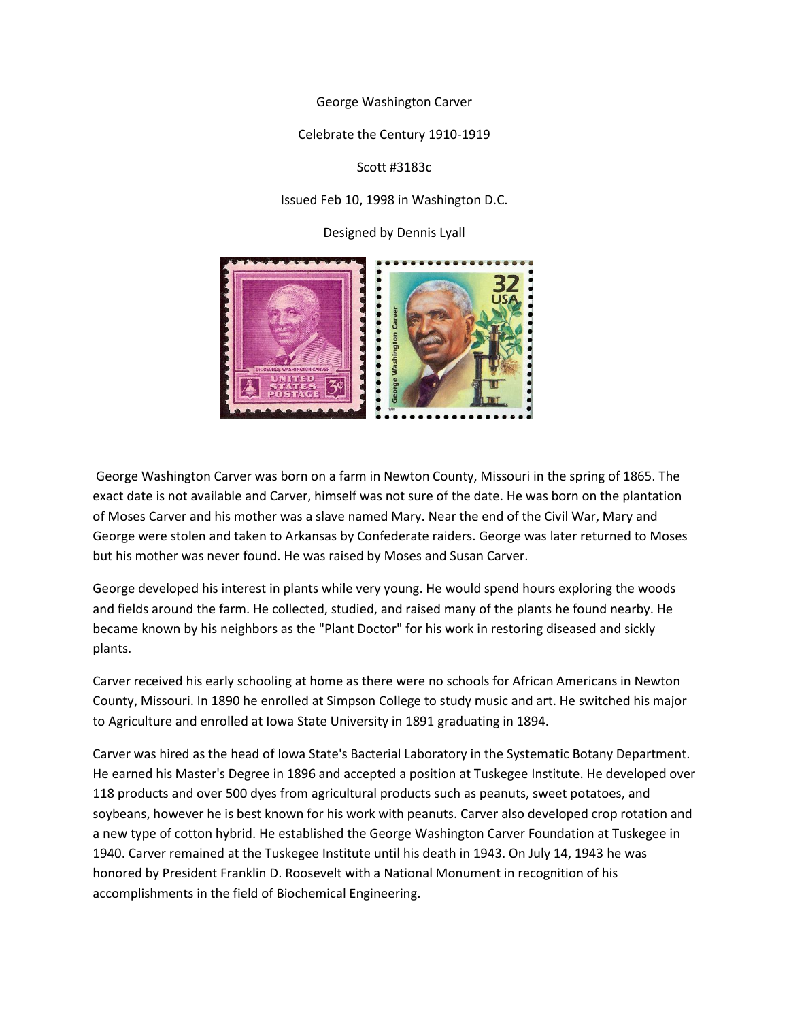George Washington Carver

Celebrate the Century 1910-1919

Scott #3183c

Issued Feb 10, 1998 in Washington D.C.

Designed by Dennis Lyall



George Washington Carver was born on a farm in Newton County, Missouri in the spring of 1865. The exact date is not available and Carver, himself was not sure of the date. He was born on the plantation of Moses Carver and his mother was a slave named Mary. Near the end of the Civil War, Mary and George were stolen and taken to Arkansas by Confederate raiders. George was later returned to Moses but his mother was never found. He was raised by Moses and Susan Carver.

George developed his interest in plants while very young. He would spend hours exploring the woods and fields around the farm. He collected, studied, and raised many of the plants he found nearby. He became known by his neighbors as the "Plant Doctor" for his work in restoring diseased and sickly plants.

Carver received his early schooling at home as there were no schools for African Americans in Newton County, Missouri. In 1890 he enrolled at Simpson College to study music and art. He switched his major to Agriculture and enrolled at Iowa State University in 1891 graduating in 1894.

Carver was hired as the head of Iowa State's Bacterial Laboratory in the Systematic Botany Department. He earned his Master's Degree in 1896 and accepted a position at Tuskegee Institute. He developed over 118 products and over 500 dyes from agricultural products such as peanuts, sweet potatoes, and soybeans, however he is best known for his work with peanuts. Carver also developed crop rotation and a new type of cotton hybrid. He established the George Washington Carver Foundation at Tuskegee in 1940. Carver remained at the Tuskegee Institute until his death in 1943. On July 14, 1943 he was honored by President Franklin D. Roosevelt with a National Monument in recognition of his accomplishments in the field of Biochemical Engineering.